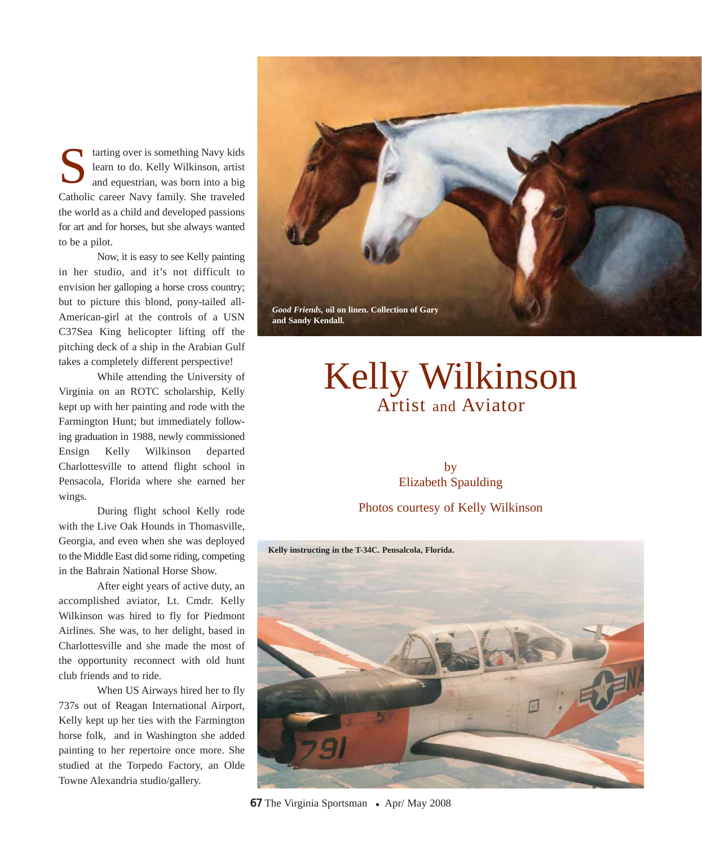tarting over is something Navy kids learn to do. Kelly Wilkinson, artist and equestrian, was born into a big Catholic career Navy family. She traveled the world as a child and developed passions for art and for horses, but she always wanted to be a pilot. S

Now, it is easy to see Kelly painting in her studio, and it's not difficult to envision her galloping a horse cross country; but to picture this blond, pony-tailed all-American-girl at the controls of a USN C37Sea King helicopter lifting off the pitching deck of a ship in the Arabian Gulf takes a completely different perspective!

While attending the University of Virginia on an ROTC scholarship, Kelly kept up with her painting and rode with the Farmington Hunt; but immediately following graduation in 1988, newly commissioned Ensign Kelly Wilkinson departed Charlottesville to attend flight school in Pensacola, Florida where she earned her wings.

During flight school Kelly rode with the Live Oak Hounds in Thomasville, Georgia, and even when she was deployed to the Middle East did some riding, competing in the Bahrain National Horse Show.

After eight years of active duty, an accomplished aviator, Lt. Cmdr. Kelly Wilkinson was hired to fly for Piedmont Airlines. She was, to her delight, based in Charlottesville and she made the most of the opportunity reconnect with old hunt club friends and to ride.

When US Airways hired her to fly 737s out of Reagan International Airport, Kelly kept up her ties with the Farmington horse folk, and in Washington she added painting to her repertoire once more. She studied at the Torpedo Factory, an Olde Towne Alexandria studio/gallery.



## Kelly Wilkinson Artist and Aviator

## by Elizabeth Spaulding

Photos courtesy of Kelly Wilkinson



67 The Virginia Sportsman • Apr/ May 2008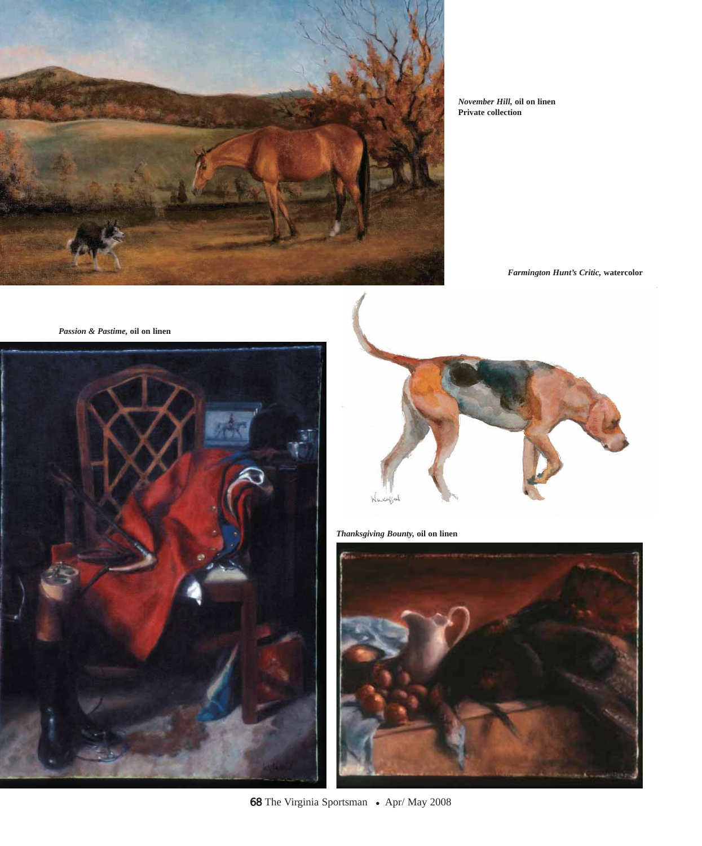

*November Hill,* **oil on linen Private collection**

*Farmington Hunt's Critic,* **watercolor**

*Passion & Pastime,* **oil on linen**





*Thanksgiving Bounty,* **oil on linen**



68 The Virginia Sportsman • Apr/ May 2008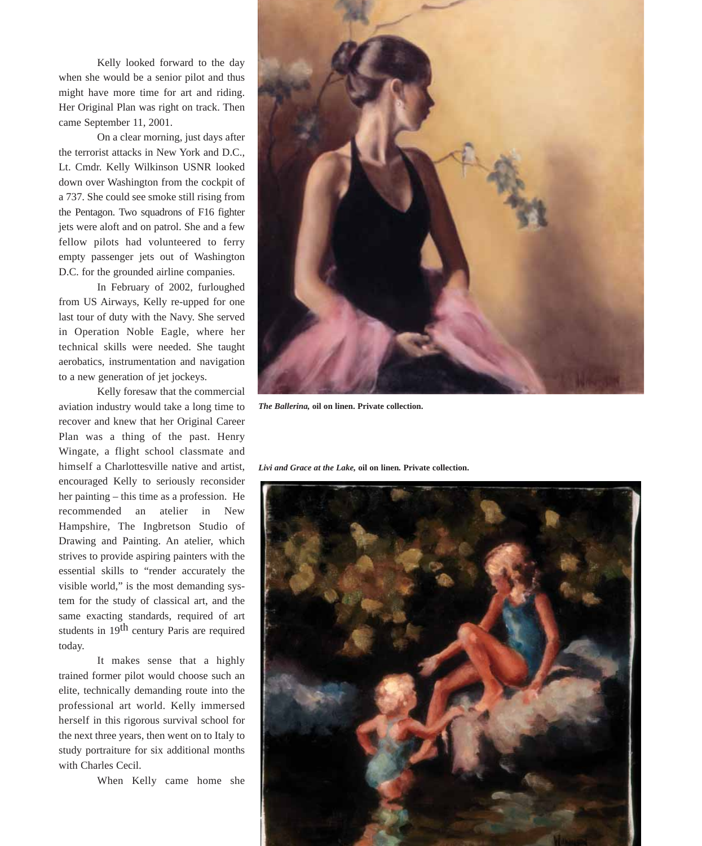Kelly looked forward to the day when she would be a senior pilot and thus might have more time for art and riding. Her Original Plan was right on track. Then came September 11, 2001.

On a clear morning, just days after the terrorist attacks in New York and D.C., Lt. Cmdr. Kelly Wilkinson USNR looked down over Washington from the cockpit of a 737. She could see smoke still rising from the Pentagon. Two squadrons of F16 fighter jets were aloft and on patrol. She and a few fellow pilots had volunteered to ferry empty passenger jets out of Washington D.C. for the grounded airline companies.

In February of 2002, furloughed from US Airways, Kelly re-upped for one last tour of duty with the Navy. She served in Operation Noble Eagle, where her technical skills were needed. She taught aerobatics, instrumentation and navigation to a new generation of jet jockeys.

Kelly foresaw that the commercial aviation industry would take a long time to recover and knew that her Original Career Plan was a thing of the past. Henry Wingate, a flight school classmate and himself a Charlottesville native and artist, encouraged Kelly to seriously reconsider her painting – this time as a profession. He recommended an atelier in New Hampshire, The Ingbretson Studio of Drawing and Painting. An atelier, which strives to provide aspiring painters with the essential skills to "render accurately the visible world," is the most demanding system for the study of classical art, and the same exacting standards, required of art students in 19<sup>th</sup> century Paris are required today.

It makes sense that a highly trained former pilot would choose such an elite, technically demanding route into the professional art world. Kelly immersed herself in this rigorous survival school for the next three years, then went on to Italy to study portraiture for six additional months with Charles Cecil.

When Kelly came home she



*The Ballerina,* **oil on linen. Private collection.**

*Livi and Grace at the Lake,* **oil on linen***.* **Private collection.**